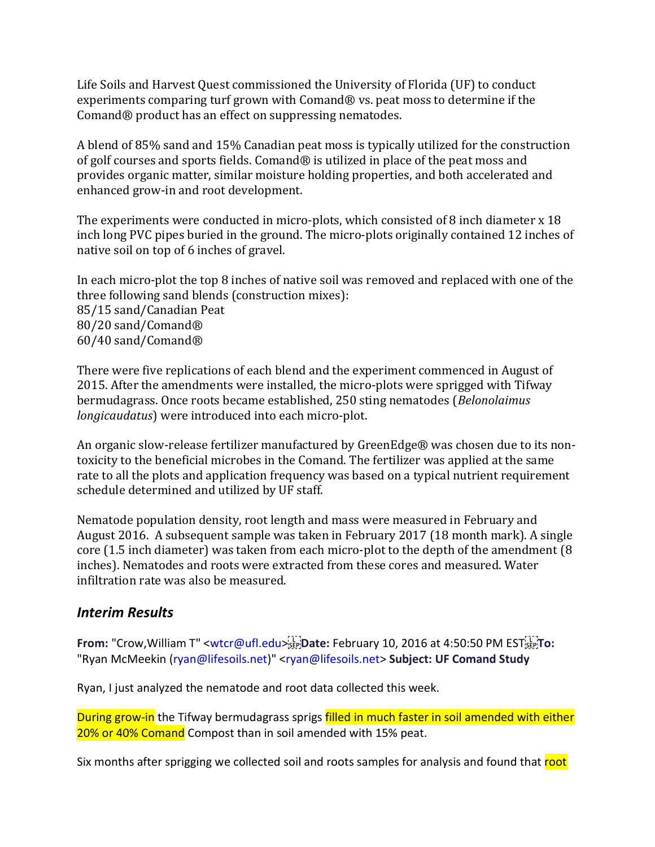Life Soils and Harvest Quest commissioned the University of Florida (UF) to conduct experiments comparing turf grown with Comand® vs. peat moss to determine if the Comand® product has an effect on suppressing nematodes.

A blend of 85% sand and 15% Canadian peat moss is typically utilized for the construction of golf courses and sports fields. Comand® is utilized in place of the peat moss and provides organic matter, similar moisture holding properties, and both accelerated and enhanced grow-in and root development.

The experiments were conducted in micro-plots, which consisted of 8 inch diameter x 18 inch long PVC pipes buried in the ground. The micro-plots originally contained 12 inches of native soil on top of 6 inches of gravel.

In each micro-plot the top 8 inches of native soil was removed and replaced with one of the three following sand blends (construction mixes): 85/15 sand/Canadian Peat 80/20 sand/Comand® 60/40 sand/Comand®

There were five replications of each blend and the experiment commenced in August of 2015. After the amendments were installed, the micro-plots were sprigged with Tifway bermudagrass. Once roots became established, 250 sting nematodes (Belonolaimus longicaudatus) were introduced into each micro-plot.

An organic slow-release fertilizer manufactured by GreenEdge® was chosen due to its nontoxicity to the beneficial microbes in the Comand. The fertilizer was applied at the same rate to all the plots and application frequency was based on a typical nutrient requirement schedule determined and utilized by UF staff.

Nematode population density, root length and mass were measured in February and August 2016. A subsequent sample was taken in February 2017 (18 month mark). A single core (1.5 inch diameter) was taken from each micro-plot to the depth of the amendment (8 inches). Nematodes and roots were extracted from these cores and measured. Water infiltration rate was also be measured.

# Interim Results

From: "Crow, William T" <wtcr@ufl.edu>
From: "Crow, William T" <wtcr@ufl.edu>
From: February 10, 2016 at 4:50:50 PM EST
From: "Ryan McMeekin (ryan@lifesoils.net)" <ryan@lifesoils.net> Subject: UF Comand Study

Ryan, I just analyzed the nematode and root data collected this week.

During grow-in the Tifway bermudagrass sprigs filled in much faster in soil amended with either 20% or 40% Comand Compost than in soil amended with 15% peat.

Six months after sprigging we collected soil and roots samples for analysis and found that root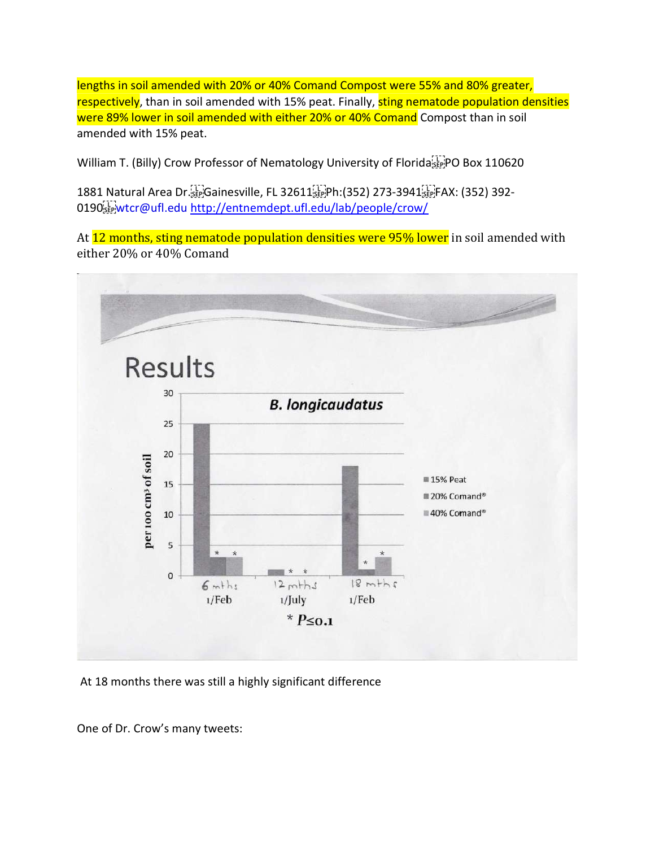lengths in soil amended with 20% or 40% Comand Compost were 55% and 80% greater, respectively, than in soil amended with 15% peat. Finally, sting nematode population densities were 89% lower in soil amended with either 20% or 40% Comand Compost than in soil amended with 15% peat.

William T. (Billy) Crow Professor of Nematology University of Florida EpplPO Box 110620

1881 Natural Area Dr. Gainesville, FL 32611 Ph:(352) 273-3941 FAX: (352) 392- 0190 $\frac{1}{100}$ wtcr@ufl.edu http://entnemdept.ufl.edu/lab/people/crow/

At 12 months, sting nematode population densities were 95% lower in soil amended with either 20% or 40% Comand



At 18 months there was still a highly significant difference

One of Dr. Crow's many tweets: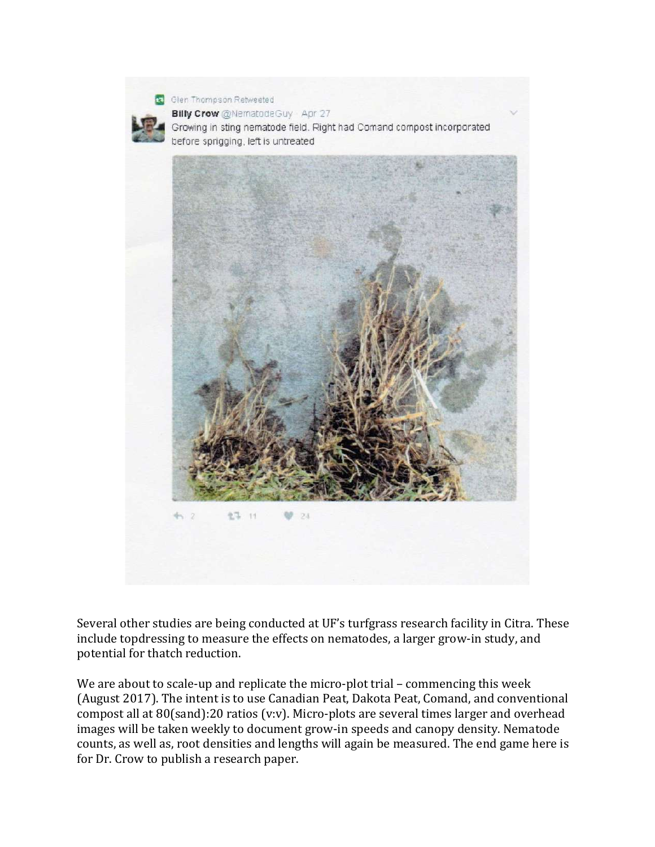

Several other studies are being conducted at UF's turfgrass research facility in Citra. These include topdressing to measure the effects on nematodes, a larger grow-in study, and potential for thatch reduction.

We are about to scale-up and replicate the micro-plot trial – commencing this week (August 2017). The intent is to use Canadian Peat, Dakota Peat, Comand, and conventional compost all at 80(sand):20 ratios (v:v). Micro-plots are several times larger and overhead images will be taken weekly to document grow-in speeds and canopy density. Nematode counts, as well as, root densities and lengths will again be measured. The end game here is for Dr. Crow to publish a research paper.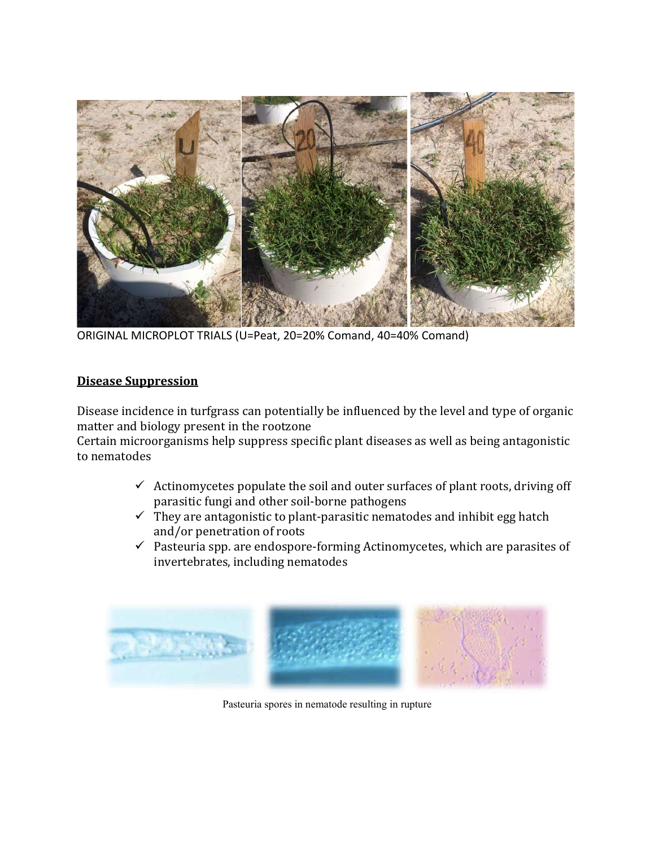

ORIGINAL MICROPLOT TRIALS (U=Peat, 20=20% Comand, 40=40% Comand)

#### Disease Suppression

Disease incidence in turfgrass can potentially be influenced by the level and type of organic matter and biology present in the rootzone

Certain microorganisms help suppress specific plant diseases as well as being antagonistic to nematodes

- $\checkmark$  Actinomycetes populate the soil and outer surfaces of plant roots, driving off parasitic fungi and other soil-borne pathogens
- $\checkmark$  They are antagonistic to plant-parasitic nematodes and inhibit egg hatch and/or penetration of roots
- $\checkmark$  Pasteuria spp. are endospore-forming Actinomycetes, which are parasites of invertebrates, including nematodes



Pasteuria spores in nematode resulting in rupture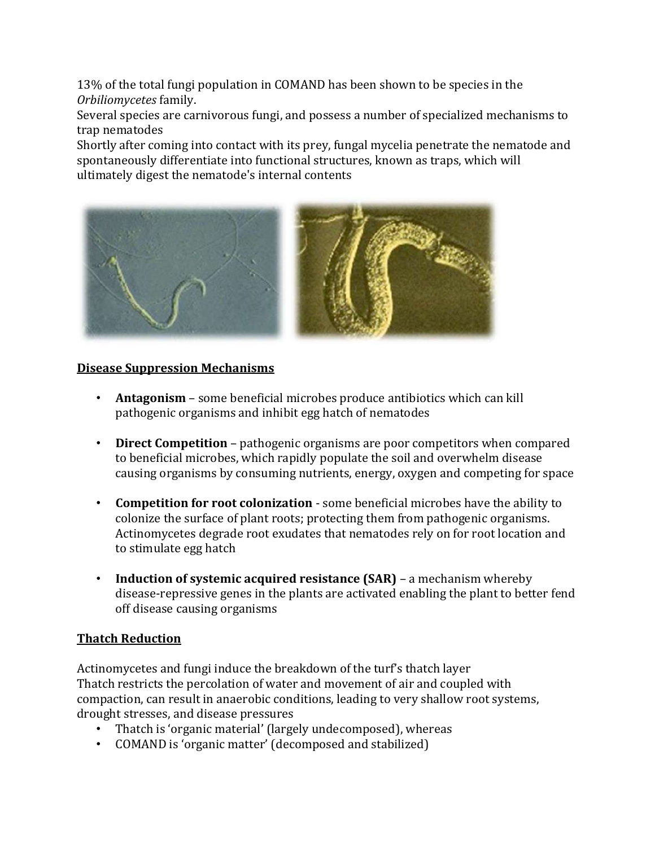13% of the total fungi population in COMAND has been shown to be species in the Orbiliomycetes family.

Several species are carnivorous fungi, and possess a number of specialized mechanisms to trap nematodes

Shortly after coming into contact with its prey, fungal mycelia penetrate the nematode and spontaneously differentiate into functional structures, known as traps, which will ultimately digest the nematode's internal contents



### Disease Suppression Mechanisms

- **Antagonism** some beneficial microbes produce antibiotics which can kill pathogenic organisms and inhibit egg hatch of nematodes
- Direct Competition pathogenic organisms are poor competitors when compared to beneficial microbes, which rapidly populate the soil and overwhelm disease causing organisms by consuming nutrients, energy, oxygen and competing for space
- Competition for root colonization some beneficial microbes have the ability to colonize the surface of plant roots; protecting them from pathogenic organisms. Actinomycetes degrade root exudates that nematodes rely on for root location and to stimulate egg hatch
- Induction of systemic acquired resistance (SAR) a mechanism whereby disease-repressive genes in the plants are activated enabling the plant to better fend off disease causing organisms

# Thatch Reduction

Actinomycetes and fungi induce the breakdown of the turf's thatch layer Thatch restricts the percolation of water and movement of air and coupled with compaction, can result in anaerobic conditions, leading to very shallow root systems, drought stresses, and disease pressures

- Thatch is 'organic material' (largely undecomposed), whereas
- COMAND is 'organic matter' (decomposed and stabilized)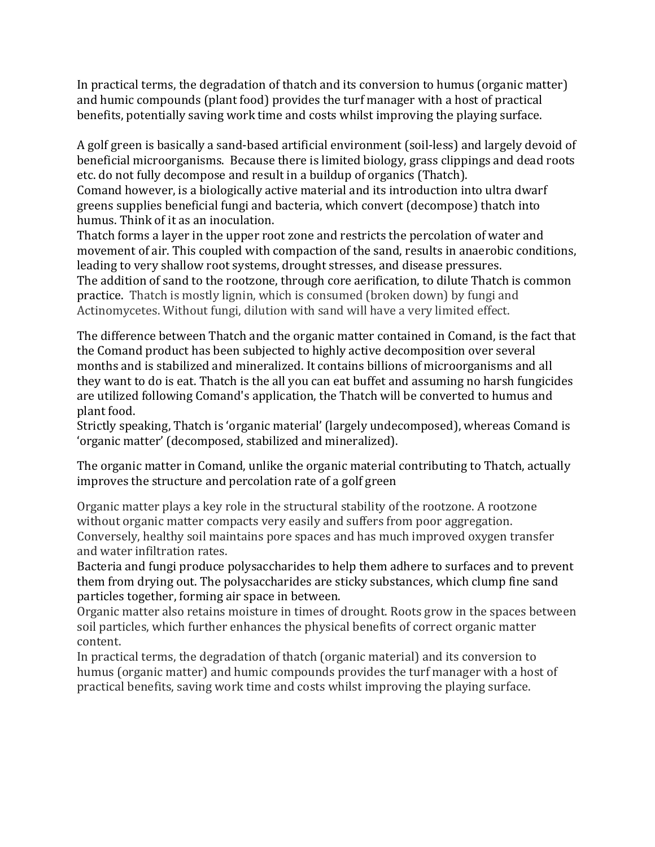In practical terms, the degradation of thatch and its conversion to humus (organic matter) and humic compounds (plant food) provides the turf manager with a host of practical benefits, potentially saving work time and costs whilst improving the playing surface.

A golf green is basically a sand-based artificial environment (soil-less) and largely devoid of beneficial microorganisms. Because there is limited biology, grass clippings and dead roots etc. do not fully decompose and result in a buildup of organics (Thatch).

Comand however, is a biologically active material and its introduction into ultra dwarf greens supplies beneficial fungi and bacteria, which convert (decompose) thatch into humus. Think of it as an inoculation.

Thatch forms a layer in the upper root zone and restricts the percolation of water and movement of air. This coupled with compaction of the sand, results in anaerobic conditions, leading to very shallow root systems, drought stresses, and disease pressures. The addition of sand to the rootzone, through core aerification, to dilute Thatch is common practice. Thatch is mostly lignin, which is consumed (broken down) by fungi and Actinomycetes. Without fungi, dilution with sand will have a very limited effect.

The difference between Thatch and the organic matter contained in Comand, is the fact that the Comand product has been subjected to highly active decomposition over several months and is stabilized and mineralized. It contains billions of microorganisms and all they want to do is eat. Thatch is the all you can eat buffet and assuming no harsh fungicides are utilized following Comand's application, the Thatch will be converted to humus and plant food.

Strictly speaking, Thatch is 'organic material' (largely undecomposed), whereas Comand is 'organic matter' (decomposed, stabilized and mineralized).

The organic matter in Comand, unlike the organic material contributing to Thatch, actually improves the structure and percolation rate of a golf green

Organic matter plays a key role in the structural stability of the rootzone. A rootzone without organic matter compacts very easily and suffers from poor aggregation. Conversely, healthy soil maintains pore spaces and has much improved oxygen transfer and water infiltration rates.

Bacteria and fungi produce polysaccharides to help them adhere to surfaces and to prevent them from drying out. The polysaccharides are sticky substances, which clump fine sand particles together, forming air space in between.

Organic matter also retains moisture in times of drought. Roots grow in the spaces between soil particles, which further enhances the physical benefits of correct organic matter content.

In practical terms, the degradation of thatch (organic material) and its conversion to humus (organic matter) and humic compounds provides the turf manager with a host of practical benefits, saving work time and costs whilst improving the playing surface.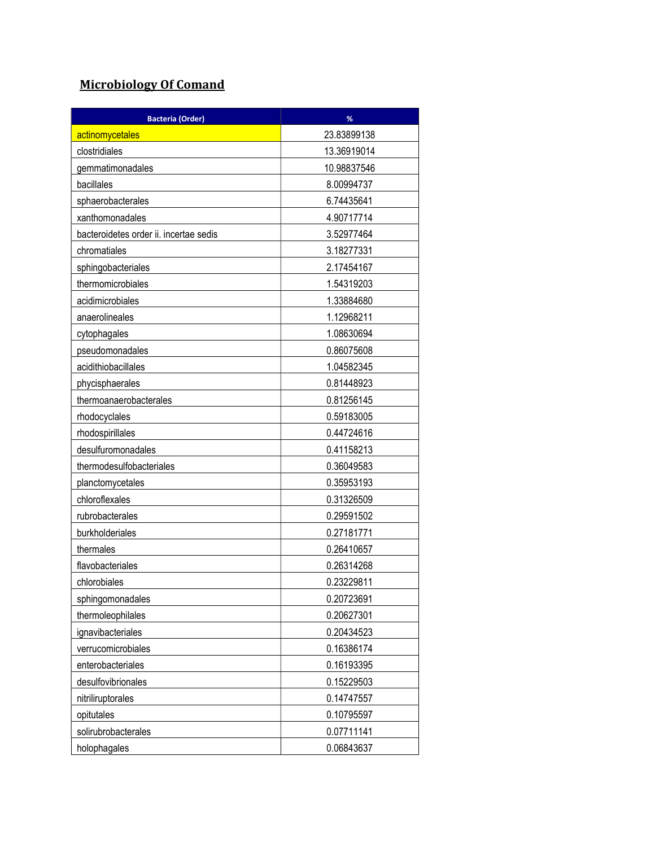# Microbiology Of Comand

| <b>Bacteria (Order)</b>                | %           |
|----------------------------------------|-------------|
| actinomycetales                        | 23.83899138 |
| clostridiales                          | 13.36919014 |
| gemmatimonadales                       | 10.98837546 |
| bacillales                             | 8.00994737  |
| sphaerobacterales                      | 6.74435641  |
| xanthomonadales                        | 4.90717714  |
| bacteroidetes order ii. incertae sedis | 3.52977464  |
| chromatiales                           | 3.18277331  |
| sphingobacteriales                     | 2.17454167  |
| thermomicrobiales                      | 1.54319203  |
| acidimicrobiales                       | 1.33884680  |
| anaerolineales                         | 1.12968211  |
| cytophagales                           | 1.08630694  |
| pseudomonadales                        | 0.86075608  |
| acidithiobacillales                    | 1.04582345  |
| phycisphaerales                        | 0.81448923  |
| thermoanaerobacterales                 | 0.81256145  |
| rhodocyclales                          | 0.59183005  |
| rhodospirillales                       | 0.44724616  |
| desulfuromonadales                     | 0.41158213  |
| thermodesulfobacteriales               | 0.36049583  |
| planctomycetales                       | 0.35953193  |
| chloroflexales                         | 0.31326509  |
| rubrobacterales                        | 0.29591502  |
| burkholderiales                        | 0.27181771  |
| thermales                              | 0.26410657  |
| flavobacteriales                       | 0.26314268  |
| chlorobiales                           | 0.23229811  |
| sphingomonadales                       | 0.20723691  |
| thermoleophilales                      | 0.20627301  |
| ignavibacteriales                      | 0.20434523  |
| verrucomicrobiales                     | 0.16386174  |
| enterobacteriales                      | 0.16193395  |
| desulfovibrionales                     | 0.15229503  |
| nitriliruptorales                      | 0.14747557  |
| opitutales                             | 0.10795597  |
| solirubrobacterales                    | 0.07711141  |
| holophagales                           | 0.06843637  |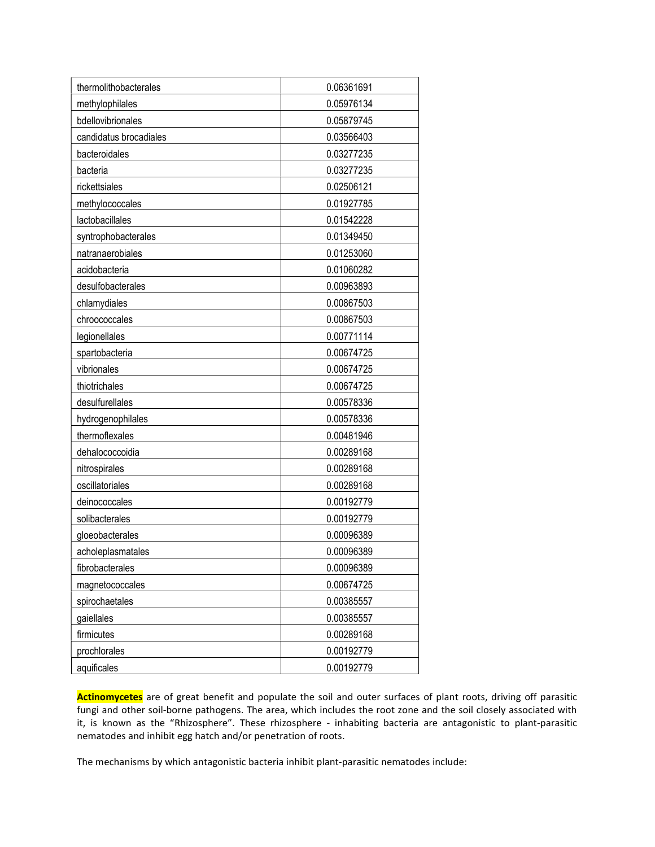| thermolithobacterales  | 0.06361691 |
|------------------------|------------|
| methylophilales        | 0.05976134 |
| bdellovibrionales      | 0.05879745 |
| candidatus brocadiales | 0.03566403 |
| bacteroidales          | 0.03277235 |
| bacteria               | 0.03277235 |
| rickettsiales          | 0.02506121 |
| methylococcales        | 0.01927785 |
| lactobacillales        | 0.01542228 |
| syntrophobacterales    | 0.01349450 |
| natranaerobiales       | 0.01253060 |
| acidobacteria          | 0.01060282 |
| desulfobacterales      | 0.00963893 |
| chlamydiales           | 0.00867503 |
| chroococcales          | 0.00867503 |
| legionellales          | 0.00771114 |
| spartobacteria         | 0.00674725 |
| vibrionales            | 0.00674725 |
| thiotrichales          | 0.00674725 |
| desulfurellales        | 0.00578336 |
| hydrogenophilales      | 0.00578336 |
| thermoflexales         | 0.00481946 |
| dehalococcoidia        | 0.00289168 |
| nitrospirales          | 0.00289168 |
| oscillatoriales        | 0.00289168 |
| deinococcales          | 0.00192779 |
| solibacterales         | 0.00192779 |
| gloeobacterales        | 0.00096389 |
| acholeplasmatales      | 0.00096389 |
| fibrobacterales        | 0.00096389 |
| magnetococcales        | 0.00674725 |
| spirochaetales         | 0.00385557 |
| gaiellales             | 0.00385557 |
| firmicutes             | 0.00289168 |
| prochlorales           | 0.00192779 |
| aquificales            | 0.00192779 |

Actinomycetes are of great benefit and populate the soil and outer surfaces of plant roots, driving off parasitic fungi and other soil-borne pathogens. The area, which includes the root zone and the soil closely associated with it, is known as the "Rhizosphere". These rhizosphere - inhabiting bacteria are antagonistic to plant-parasitic nematodes and inhibit egg hatch and/or penetration of roots.

The mechanisms by which antagonistic bacteria inhibit plant-parasitic nematodes include: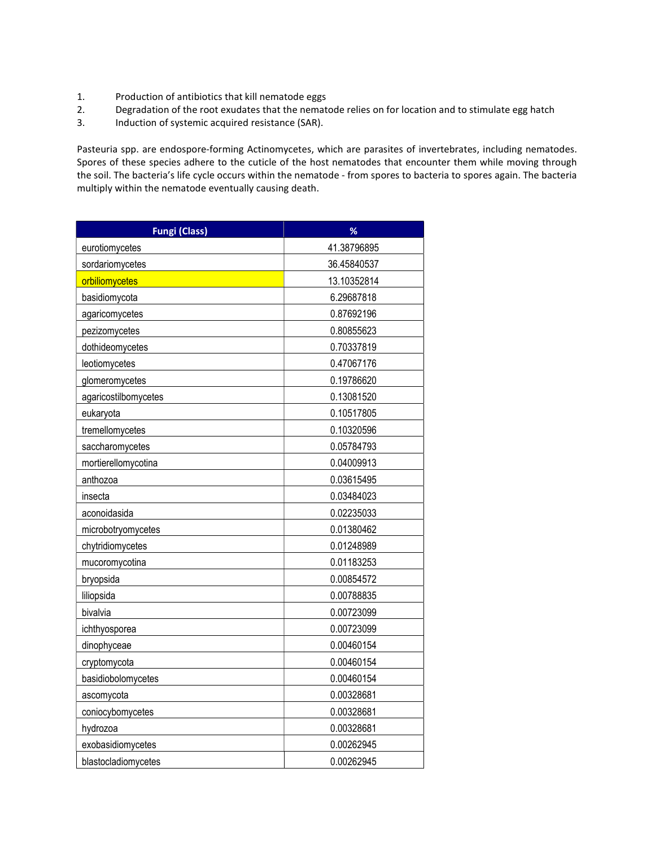- 1. Production of antibiotics that kill nematode eggs
- 2. Degradation of the root exudates that the nematode relies on for location and to stimulate egg hatch
- 3. Induction of systemic acquired resistance (SAR).

Pasteuria spp. are endospore-forming Actinomycetes, which are parasites of invertebrates, including nematodes. Spores of these species adhere to the cuticle of the host nematodes that encounter them while moving through the soil. The bacteria's life cycle occurs within the nematode - from spores to bacteria to spores again. The bacteria multiply within the nematode eventually causing death.

| <b>Fungi (Class)</b> | %           |
|----------------------|-------------|
| eurotiomycetes       | 41.38796895 |
| sordariomycetes      | 36.45840537 |
| orbiliomycetes       | 13.10352814 |
| basidiomycota        | 6.29687818  |
| agaricomycetes       | 0.87692196  |
| pezizomycetes        | 0.80855623  |
| dothideomycetes      | 0.70337819  |
| leotiomycetes        | 0.47067176  |
| glomeromycetes       | 0.19786620  |
| agaricostilbomycetes | 0.13081520  |
| eukaryota            | 0.10517805  |
| tremellomycetes      | 0.10320596  |
| saccharomycetes      | 0.05784793  |
| mortierellomycotina  | 0.04009913  |
| anthozoa             | 0.03615495  |
| insecta              | 0.03484023  |
| aconoidasida         | 0.02235033  |
| microbotryomycetes   | 0.01380462  |
| chytridiomycetes     | 0.01248989  |
| mucoromycotina       | 0.01183253  |
| bryopsida            | 0.00854572  |
| liliopsida           | 0.00788835  |
| bivalvia             | 0.00723099  |
| ichthyosporea        | 0.00723099  |
| dinophyceae          | 0.00460154  |
| cryptomycota         | 0.00460154  |
| basidiobolomycetes   | 0.00460154  |
| ascomycota           | 0.00328681  |
| coniocybomycetes     | 0.00328681  |
| hydrozoa             | 0.00328681  |
| exobasidiomycetes    | 0.00262945  |
| blastocladiomycetes  | 0.00262945  |